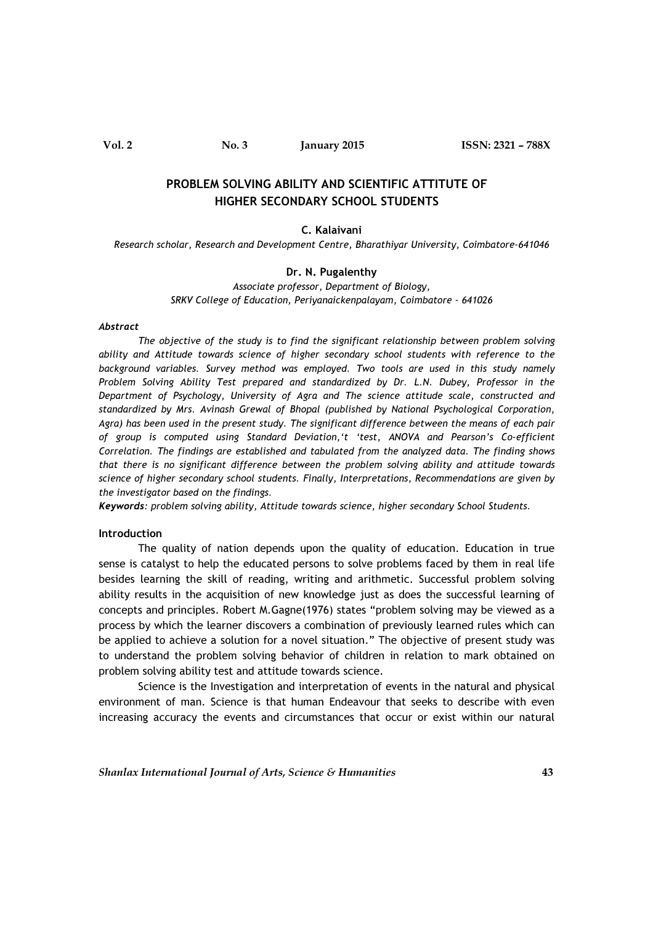Vol. 2 No. 3 January 2015 ISSN: 2321 – 788X

# PROBLEM SOLVING ABILITY AND SCIENTIFIC ATTITUTE OF HIGHER SECONDARY SCHOOL STUDENTS

#### C. Kalaivani

Research scholar, Research and Development Centre, Bharathiyar University, Coimbatore-641046

### Dr. N. Pugalenthy

Associate professor, Department of Biology, SRKV College of Education, Periyanaickenpalayam, Coimbatore - 641026

#### Abstract

The objective of the study is to find the significant relationship between problem solving ability and Attitude towards science of higher secondary school students with reference to the background variables. Survey method was employed. Two tools are used in this study namely Problem Solving Ability Test prepared and standardized by Dr. L.N. Dubey, Professor in the Department of Psychology, University of Agra and The science attitude scale, constructed and standardized by Mrs. Avinash Grewal of Bhopal (published by National Psychological Corporation, Agra) has been used in the present study. The significant difference between the means of each pair of group is computed using Standard Deviation,'t 'test, ANOVA and Pearson's Co-efficient Correlation. The findings are established and tabulated from the analyzed data. The finding shows that there is no significant difference between the problem solving ability and attitude towards science of higher secondary school students. Finally, Interpretations, Recommendations are given by the investigator based on the findings.

Keywords: problem solving ability, Attitude towards science, higher secondary School Students.

### Introduction

The quality of nation depends upon the quality of education. Education in true sense is catalyst to help the educated persons to solve problems faced by them in real life besides learning the skill of reading, writing and arithmetic. Successful problem solving ability results in the acquisition of new knowledge just as does the successful learning of concepts and principles. Robert M.Gagne(1976) states "problem solving may be viewed as a process by which the learner discovers a combination of previously learned rules which can be applied to achieve a solution for a novel situation." The objective of present study was to understand the problem solving behavior of children in relation to mark obtained on problem solving ability test and attitude towards science.

Science is the Investigation and interpretation of events in the natural and physical environment of man. Science is that human Endeavour that seeks to describe with even increasing accuracy the events and circumstances that occur or exist within our natural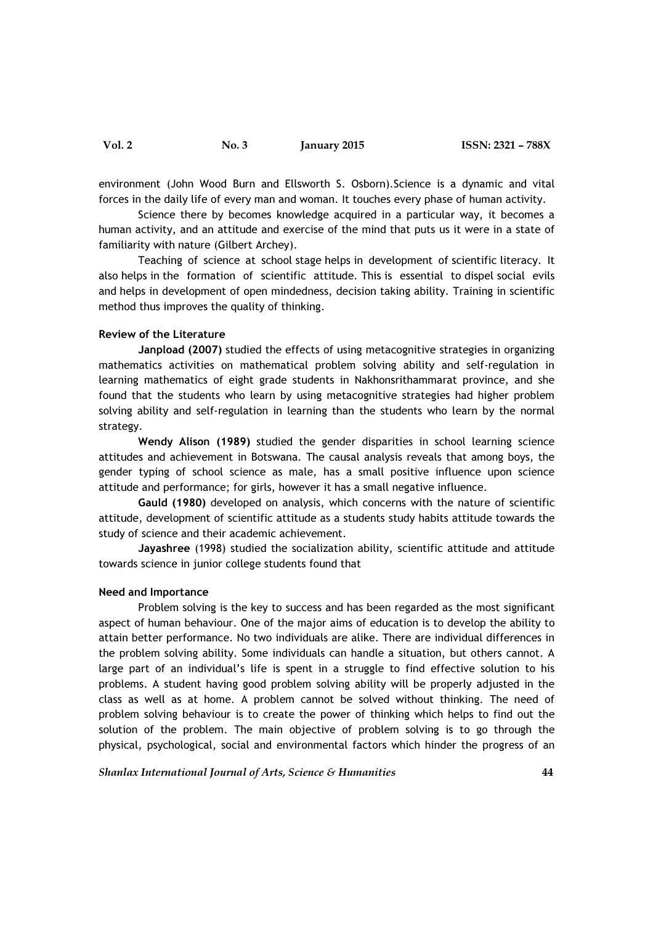environment (John Wood Burn and Ellsworth S. Osborn).Science is a dynamic and vital forces in the daily life of every man and woman. It touches every phase of human activity.

Science there by becomes knowledge acquired in a particular way, it becomes a human activity, and an attitude and exercise of the mind that puts us it were in a state of familiarity with nature (Gilbert Archey).

Teaching of science at school stage helps in development of scientific literacy. It also helps in the formation of scientific attitude. This is essential to dispel social evils and helps in development of open mindedness, decision taking ability. Training in scientific method thus improves the quality of thinking.

### Review of the Literature

Janpload (2007) studied the effects of using metacognitive strategies in organizing mathematics activities on mathematical problem solving ability and self-regulation in learning mathematics of eight grade students in Nakhonsrithammarat province, and she found that the students who learn by using metacognitive strategies had higher problem solving ability and self-regulation in learning than the students who learn by the normal strategy.

Wendy Alison (1989) studied the gender disparities in school learning science attitudes and achievement in Botswana. The causal analysis reveals that among boys, the gender typing of school science as male, has a small positive influence upon science attitude and performance; for girls, however it has a small negative influence.

Gauld (1980) developed on analysis, which concerns with the nature of scientific attitude, development of scientific attitude as a students study habits attitude towards the study of science and their academic achievement.

Jayashree (1998) studied the socialization ability, scientific attitude and attitude towards science in junior college students found that

#### Need and Importance

Problem solving is the key to success and has been regarded as the most significant aspect of human behaviour. One of the major aims of education is to develop the ability to attain better performance. No two individuals are alike. There are individual differences in the problem solving ability. Some individuals can handle a situation, but others cannot. A large part of an individual's life is spent in a struggle to find effective solution to his problems. A student having good problem solving ability will be properly adjusted in the class as well as at home. A problem cannot be solved without thinking. The need of problem solving behaviour is to create the power of thinking which helps to find out the solution of the problem. The main objective of problem solving is to go through the physical, psychological, social and environmental factors which hinder the progress of an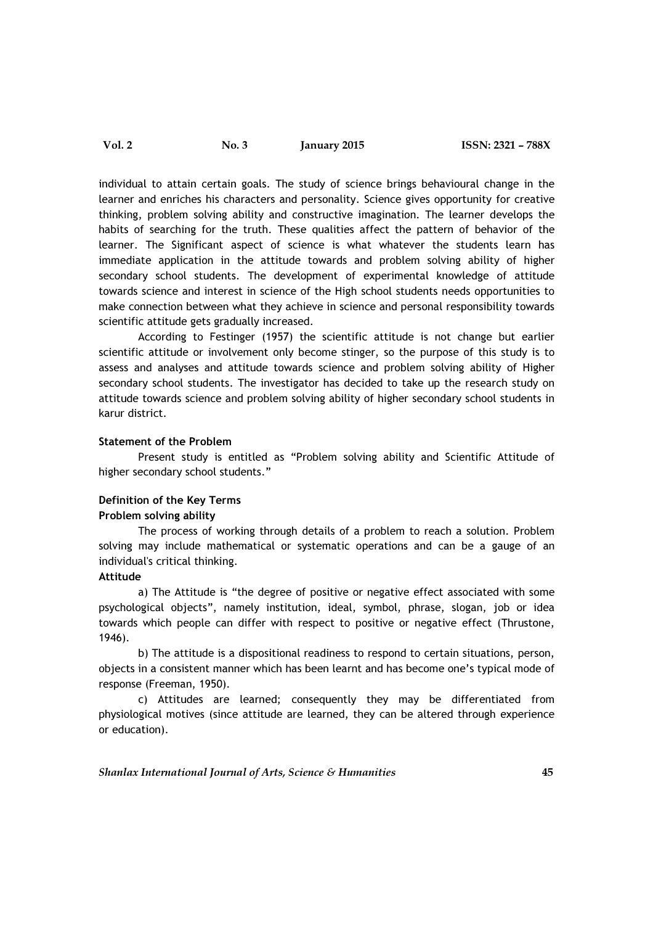Vol. 2 No. 3 January 2015 ISSN: 2321 – 788X

individual to attain certain goals. The study of science brings behavioural change in the learner and enriches his characters and personality. Science gives opportunity for creative thinking, problem solving ability and constructive imagination. The learner develops the habits of searching for the truth. These qualities affect the pattern of behavior of the learner. The Significant aspect of science is what whatever the students learn has immediate application in the attitude towards and problem solving ability of higher secondary school students. The development of experimental knowledge of attitude towards science and interest in science of the High school students needs opportunities to make connection between what they achieve in science and personal responsibility towards scientific attitude gets gradually increased.

According to Festinger (1957) the scientific attitude is not change but earlier scientific attitude or involvement only become stinger, so the purpose of this study is to assess and analyses and attitude towards science and problem solving ability of Higher secondary school students. The investigator has decided to take up the research study on attitude towards science and problem solving ability of higher secondary school students in karur district.

### Statement of the Problem

Present study is entitled as "Problem solving ability and Scientific Attitude of higher secondary school students."

# Definition of the Key Terms

# Problem solving ability

The process of working through details of a problem to reach a solution. Problem solving may include mathematical or systematic operations and can be a gauge of an individual's critical thinking.

### Attitude

a) The Attitude is "the degree of positive or negative effect associated with some psychological objects", namely institution, ideal, symbol, phrase, slogan, job or idea towards which people can differ with respect to positive or negative effect (Thrustone, 1946).

b) The attitude is a dispositional readiness to respond to certain situations, person, objects in a consistent manner which has been learnt and has become one's typical mode of response (Freeman, 1950).

c) Attitudes are learned; consequently they may be differentiated from physiological motives (since attitude are learned, they can be altered through experience or education).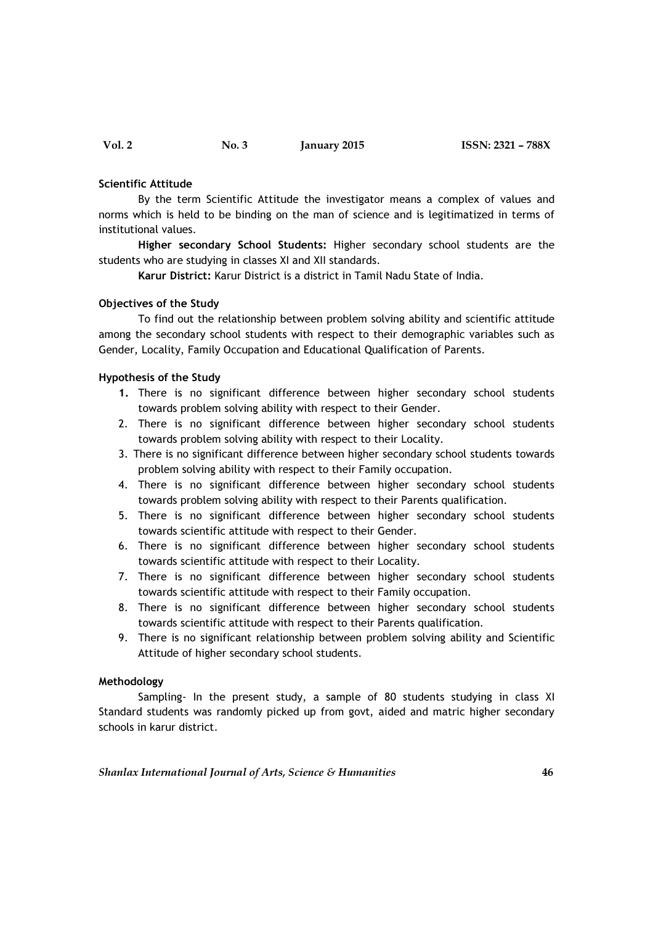### Scientific Attitude

By the term Scientific Attitude the investigator means a complex of values and norms which is held to be binding on the man of science and is legitimatized in terms of institutional values.

Higher secondary School Students: Higher secondary school students are the students who are studying in classes XI and XII standards.

Karur District: Karur District is a district in Tamil Nadu State of India.

### Objectives of the Study

 To find out the relationship between problem solving ability and scientific attitude among the secondary school students with respect to their demographic variables such as Gender, Locality, Family Occupation and Educational Qualification of Parents.

# Hypothesis of the Study

- 1. There is no significant difference between higher secondary school students towards problem solving ability with respect to their Gender.
- 2. There is no significant difference between higher secondary school students towards problem solving ability with respect to their Locality.
- 3. There is no significant difference between higher secondary school students towards problem solving ability with respect to their Family occupation.
- 4. There is no significant difference between higher secondary school students towards problem solving ability with respect to their Parents qualification.
- 5. There is no significant difference between higher secondary school students towards scientific attitude with respect to their Gender.
- 6. There is no significant difference between higher secondary school students towards scientific attitude with respect to their Locality.
- 7. There is no significant difference between higher secondary school students towards scientific attitude with respect to their Family occupation.
- 8. There is no significant difference between higher secondary school students towards scientific attitude with respect to their Parents qualification.
- 9. There is no significant relationship between problem solving ability and Scientific Attitude of higher secondary school students.

### Methodology

Sampling- In the present study, a sample of 80 students studying in class XI Standard students was randomly picked up from govt, aided and matric higher secondary schools in karur district.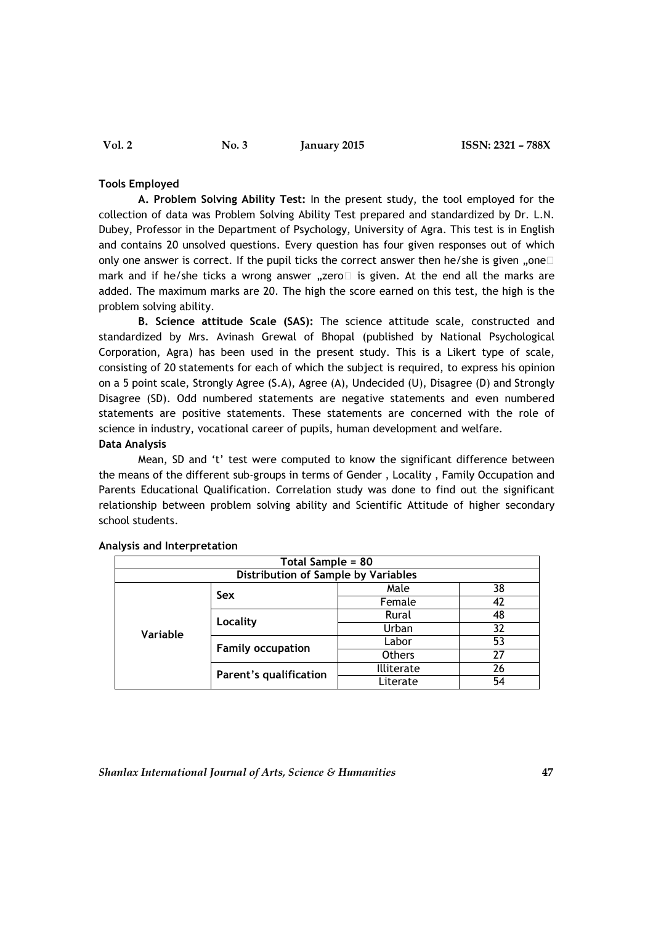### Tools Employed

A. Problem Solving Ability Test: In the present study, the tool employed for the collection of data was Problem Solving Ability Test prepared and standardized by Dr. L.N. Dubey, Professor in the Department of Psychology, University of Agra. This test is in English and contains 20 unsolved questions. Every question has four given responses out of which only one answer is correct. If the pupil ticks the correct answer then he/she is given  $\Box$ mark and if he/she ticks a wrong answer "zero $\square$  is given. At the end all the marks are added. The maximum marks are 20. The high the score earned on this test, the high is the problem solving ability.

B. Science attitude Scale (SAS): The science attitude scale, constructed and standardized by Mrs. Avinash Grewal of Bhopal (published by National Psychological Corporation, Agra) has been used in the present study. This is a Likert type of scale, consisting of 20 statements for each of which the subject is required, to express his opinion on a 5 point scale, Strongly Agree (S.A), Agree (A), Undecided (U), Disagree (D) and Strongly Disagree (SD). Odd numbered statements are negative statements and even numbered statements are positive statements. These statements are concerned with the role of science in industry, vocational career of pupils, human development and welfare.

# Data Analysis

 Mean, SD and 't' test were computed to know the significant difference between the means of the different sub-groups in terms of Gender , Locality , Family Occupation and Parents Educational Qualification. Correlation study was done to find out the significant relationship between problem solving ability and Scientific Attitude of higher secondary school students.

| Total Sample = 80                   |                               |                   |    |  |  |  |  |
|-------------------------------------|-------------------------------|-------------------|----|--|--|--|--|
| Distribution of Sample by Variables |                               |                   |    |  |  |  |  |
| Variable                            | <b>Sex</b>                    | Male              | 38 |  |  |  |  |
|                                     |                               | Female            | 42 |  |  |  |  |
|                                     | Locality                      | Rural             | 48 |  |  |  |  |
|                                     |                               | Urban             | 32 |  |  |  |  |
|                                     | <b>Family occupation</b>      | Labor             | 53 |  |  |  |  |
|                                     |                               | <b>Others</b>     | 27 |  |  |  |  |
|                                     | <b>Parent's qualification</b> | <b>Illiterate</b> | 26 |  |  |  |  |
|                                     |                               | Literate          | 54 |  |  |  |  |

#### Analysis and Interpretation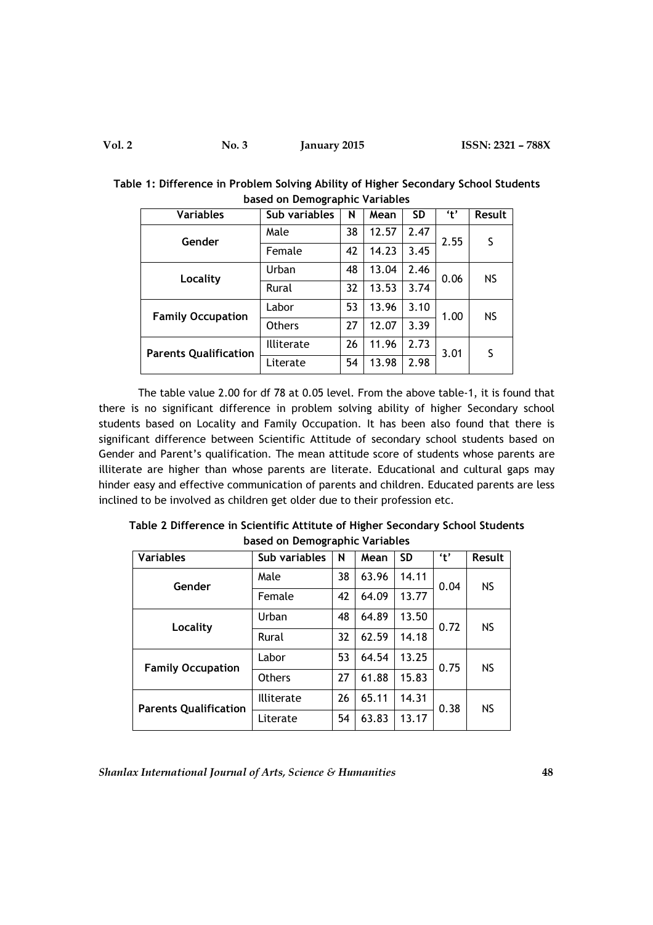| <b>Variables</b>             | Sub variables |    | Mean  | <b>SD</b> | 't'  | Result    |
|------------------------------|---------------|----|-------|-----------|------|-----------|
| Gender                       | Male          | 38 | 12.57 | 2.47      | 2.55 | S         |
|                              | Female        | 42 | 14.23 | 3.45      |      |           |
| Locality                     | Urban         | 48 | 13.04 | 2.46      | 0.06 | <b>NS</b> |
|                              | Rural         | 32 | 13.53 | 3.74      |      |           |
| <b>Family Occupation</b>     | Labor         | 53 | 13.96 | 3.10      | 1.00 | <b>NS</b> |
|                              | <b>Others</b> | 27 | 12.07 | 3.39      |      |           |
| <b>Parents Qualification</b> | Illiterate    | 26 | 11.96 | 2.73      | 3.01 | S         |
|                              | Literate      | 54 | 13.98 | 2.98      |      |           |

Table 1: Difference in Problem Solving Ability of Higher Secondary School Students based on Demographic Variables

The table value 2.00 for df 78 at 0.05 level. From the above table-1, it is found that there is no significant difference in problem solving ability of higher Secondary school students based on Locality and Family Occupation. It has been also found that there is significant difference between Scientific Attitude of secondary school students based on Gender and Parent's qualification. The mean attitude score of students whose parents are illiterate are higher than whose parents are literate. Educational and cultural gaps may hinder easy and effective communication of parents and children. Educated parents are less inclined to be involved as children get older due to their profession etc.

| <b>Variables</b>             | Sub variables | N  | Mean  | <b>SD</b> | 't'  | Result    |
|------------------------------|---------------|----|-------|-----------|------|-----------|
| Gender                       | Male          | 38 | 63.96 | 14.11     | 0.04 | <b>NS</b> |
|                              | Female        | 42 | 64.09 | 13.77     |      |           |
| Locality                     | Urban         | 48 | 64.89 | 13.50     | 0.72 | <b>NS</b> |
|                              | Rural         | 32 | 62.59 | 14.18     |      |           |
| <b>Family Occupation</b>     | Labor         | 53 | 64.54 | 13.25     | 0.75 | <b>NS</b> |
|                              | <b>Others</b> | 27 | 61.88 | 15.83     |      |           |
| <b>Parents Qualification</b> | Illiterate    | 26 | 65.11 | 14.31     | 0.38 | <b>NS</b> |
|                              | Literate      | 54 | 63.83 | 13.17     |      |           |

Table 2 Difference in Scientific Attitute of Higher Secondary School Students based on Demographic Variables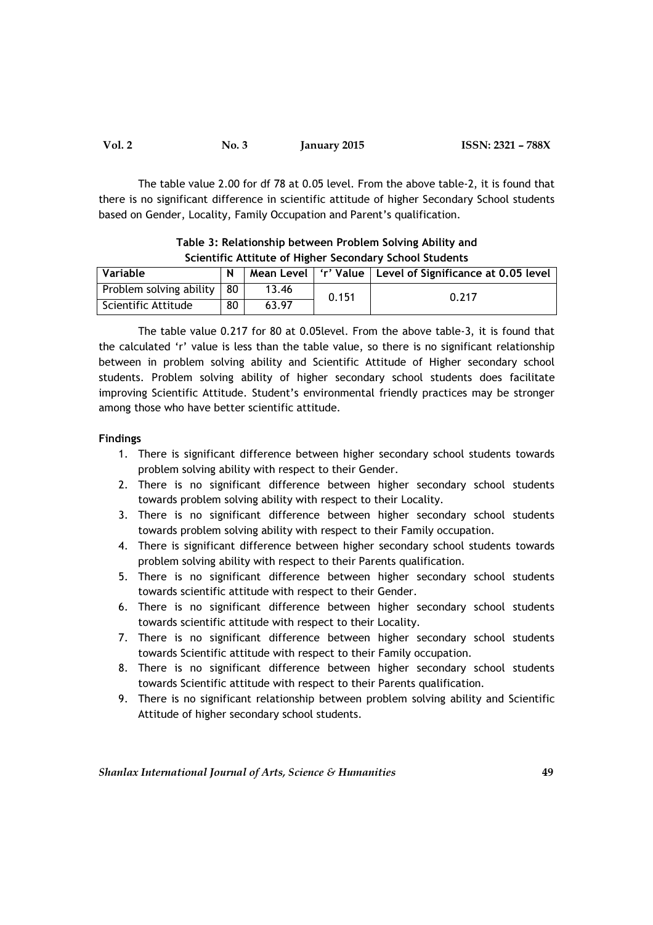| Vol. 2 | No. 3 | January 2015 | ISSN: 2321 - 788X |
|--------|-------|--------------|-------------------|
|--------|-------|--------------|-------------------|

 The table value 2.00 for df 78 at 0.05 level. From the above table-2, it is found that there is no significant difference in scientific attitude of higher Secondary School students based on Gender, Locality, Family Occupation and Parent's qualification.

| <u>SCIENTING ACCIDENCY THRITEI SECURIQUE VISITIONI SCUDENTS</u> |    |       |       |                                                              |  |
|-----------------------------------------------------------------|----|-------|-------|--------------------------------------------------------------|--|
| Variable                                                        |    |       |       | Mean Level   'r' Value   Level of Significance at 0.05 level |  |
| Problem solving ability   80                                    |    | 13.46 | 0.151 | 0.217                                                        |  |
| Scientific Attitude                                             | 80 | 63.97 |       |                                                              |  |

Table 3: Relationship between Problem Solving Ability and Scientific Attitute of Higher Secondary School Students

 The table value 0.217 for 80 at 0.05level. From the above table-3, it is found that the calculated 'r' value is less than the table value, so there is no significant relationship between in problem solving ability and Scientific Attitude of Higher secondary school students. Problem solving ability of higher secondary school students does facilitate improving Scientific Attitude. Student's environmental friendly practices may be stronger among those who have better scientific attitude.

# Findings

- 1. There is significant difference between higher secondary school students towards problem solving ability with respect to their Gender.
- 2. There is no significant difference between higher secondary school students towards problem solving ability with respect to their Locality.
- 3. There is no significant difference between higher secondary school students towards problem solving ability with respect to their Family occupation.
- 4. There is significant difference between higher secondary school students towards problem solving ability with respect to their Parents qualification.
- 5. There is no significant difference between higher secondary school students towards scientific attitude with respect to their Gender.
- 6. There is no significant difference between higher secondary school students towards scientific attitude with respect to their Locality.
- 7. There is no significant difference between higher secondary school students towards Scientific attitude with respect to their Family occupation.
- 8. There is no significant difference between higher secondary school students towards Scientific attitude with respect to their Parents qualification.
- 9. There is no significant relationship between problem solving ability and Scientific Attitude of higher secondary school students.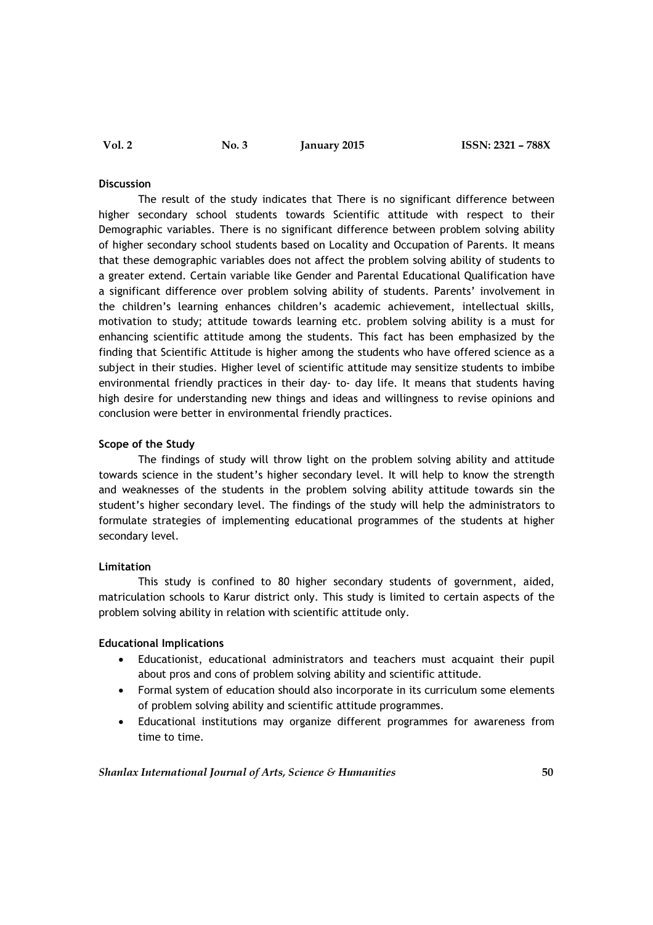#### **Discussion**

The result of the study indicates that There is no significant difference between higher secondary school students towards Scientific attitude with respect to their Demographic variables. There is no significant difference between problem solving ability of higher secondary school students based on Locality and Occupation of Parents. It means that these demographic variables does not affect the problem solving ability of students to a greater extend. Certain variable like Gender and Parental Educational Qualification have a significant difference over problem solving ability of students. Parents' involvement in the children's learning enhances children's academic achievement, intellectual skills, motivation to study; attitude towards learning etc. problem solving ability is a must for enhancing scientific attitude among the students. This fact has been emphasized by the finding that Scientific Attitude is higher among the students who have offered science as a subject in their studies. Higher level of scientific attitude may sensitize students to imbibe environmental friendly practices in their day- to- day life. It means that students having high desire for understanding new things and ideas and willingness to revise opinions and conclusion were better in environmental friendly practices.

# Scope of the Study

 The findings of study will throw light on the problem solving ability and attitude towards science in the student's higher secondary level. It will help to know the strength and weaknesses of the students in the problem solving ability attitude towards sin the student's higher secondary level. The findings of the study will help the administrators to formulate strategies of implementing educational programmes of the students at higher secondary level.

### Limitation

 This study is confined to 80 higher secondary students of government, aided, matriculation schools to Karur district only. This study is limited to certain aspects of the problem solving ability in relation with scientific attitude only.

### Educational Implications

- Educationist, educational administrators and teachers must acquaint their pupil about pros and cons of problem solving ability and scientific attitude.
- Formal system of education should also incorporate in its curriculum some elements of problem solving ability and scientific attitude programmes.
- Educational institutions may organize different programmes for awareness from time to time.